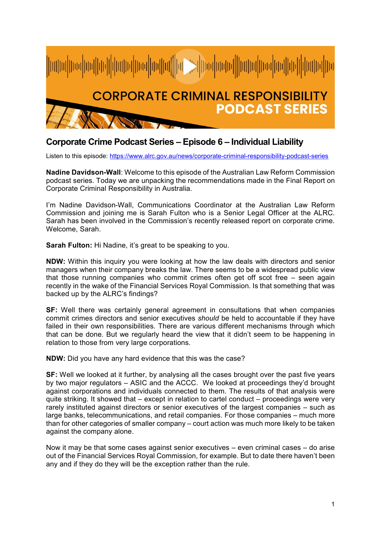

## **Corporate Crime Podcast Series – Episode 6 – Individual Liability**

Listen to this episode:<https://www.alrc.gov.au/news/corporate-criminal-responsibility-podcast-series>

**Nadine Davidson-Wall**: Welcome to this episode of the Australian Law Reform Commission podcast series. Today we are unpacking the recommendations made in the Final Report on Corporate Criminal Responsibility in Australia.

I'm Nadine Davidson-Wall, Communications Coordinator at the Australian Law Reform Commission and joining me is Sarah Fulton who is a Senior Legal Officer at the ALRC. Sarah has been involved in the Commission's recently released report on corporate crime. Welcome, Sarah.

**Sarah Fulton:** Hi Nadine, it's great to be speaking to you.

**NDW:** Within this inquiry you were looking at how the law deals with directors and senior managers when their company breaks the law. There seems to be a widespread public view that those running companies who commit crimes often get off scot free – seen again recently in the wake of the Financial Services Royal Commission. Is that something that was backed up by the ALRC's findings?

**SF:** Well there was certainly general agreement in consultations that when companies commit crimes directors and senior executives *should* be held to accountable if they have failed in their own responsibilities. There are various different mechanisms through which that can be done. But we regularly heard the view that it didn't seem to be happening in relation to those from very large corporations.

**NDW:** Did you have any hard evidence that this was the case?

**SF:** Well we looked at it further, by analysing all the cases brought over the past five years by two major regulators – ASIC and the ACCC. We looked at proceedings they'd brought against corporations and individuals connected to them. The results of that analysis were quite striking. It showed that – except in relation to cartel conduct – proceedings were very rarely instituted against directors or senior executives of the largest companies – such as large banks, telecommunications, and retail companies. For those companies – much more than for other categories of smaller company – court action was much more likely to be taken against the company alone.

Now it may be that some cases against senior executives – even criminal cases – do arise out of the Financial Services Royal Commission, for example. But to date there haven't been any and if they do they will be the exception rather than the rule.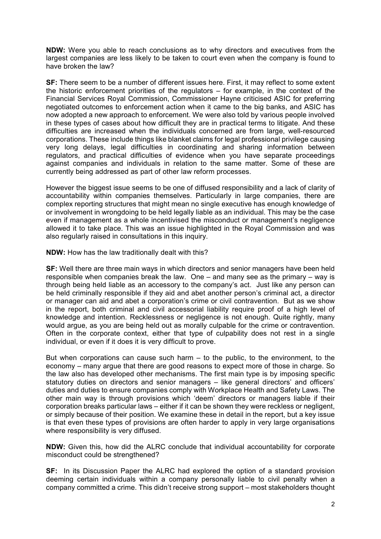**NDW:** Were you able to reach conclusions as to why directors and executives from the largest companies are less likely to be taken to court even when the company is found to have broken the law?

**SF:** There seem to be a number of different issues here. First, it may reflect to some extent the historic enforcement priorities of the regulators – for example, in the context of the Financial Services Royal Commission, Commissioner Hayne criticised ASIC for preferring negotiated outcomes to enforcement action when it came to the big banks, and ASIC has now adopted a new approach to enforcement. We were also told by various people involved in these types of cases about how difficult they are in practical terms to litigate. And these difficulties are increased when the individuals concerned are from large, well-resourced corporations. These include things like blanket claims for legal professional privilege causing very long delays, legal difficulties in coordinating and sharing information between regulators, and practical difficulties of evidence when you have separate proceedings against companies and individuals in relation to the same matter. Some of these are currently being addressed as part of other law reform processes.

However the biggest issue seems to be one of diffused responsibility and a lack of clarity of accountability within companies themselves. Particularly in large companies, there are complex reporting structures that might mean no single executive has enough knowledge of or involvement in wrongdoing to be held legally liable as an individual. This may be the case even if management as a whole incentivised the misconduct or management's negligence allowed it to take place. This was an issue highlighted in the Royal Commission and was also regularly raised in consultations in this inquiry.

**NDW:** How has the law traditionally dealt with this?

**SF:** Well there are three main ways in which directors and senior managers have been held responsible when companies break the law. One – and many see as the primary – way is through being held liable as an accessory to the company's act. Just like any person can be held criminally responsible if they aid and abet another person's criminal act, a director or manager can aid and abet a corporation's crime or civil contravention. But as we show in the report, both criminal and civil accessorial liability require proof of a high level of knowledge and intention. Recklessness or negligence is not enough. Quite rightly, many would argue, as you are being held out as morally culpable for the crime or contravention. Often in the corporate context, either that type of culpability does not rest in a single individual, or even if it does it is very difficult to prove.

But when corporations can cause such harm – to the public, to the environment, to the economy – many argue that there are good reasons to expect more of those in charge. So the law also has developed other mechanisms. The first main type is by imposing specific statutory duties on directors and senior managers – like general directors' and officers' duties and duties to ensure companies comply with Workplace Health and Safety Laws. The other main way is through provisions which 'deem' directors or managers liable if their corporation breaks particular laws – either if it can be shown they were reckless or negligent, or simply because of their position. We examine these in detail in the report, but a key issue is that even these types of provisions are often harder to apply in very large organisations where responsibility is very diffused.

**NDW:** Given this, how did the ALRC conclude that individual accountability for corporate misconduct could be strengthened?

**SF:** In its Discussion Paper the ALRC had explored the option of a standard provision deeming certain individuals within a company personally liable to civil penalty when a company committed a crime. This didn't receive strong support – most stakeholders thought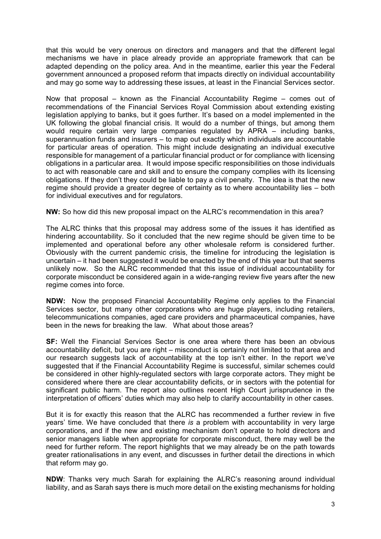that this would be very onerous on directors and managers and that the different legal mechanisms we have in place already provide an appropriate framework that can be adapted depending on the policy area. And in the meantime, earlier this year the Federal government announced a proposed reform that impacts directly on individual accountability and may go some way to addressing these issues, at least in the Financial Services sector.

Now that proposal – known as the Financial Accountability Regime – comes out of recommendations of the Financial Services Royal Commission about extending existing legislation applying to banks, but it goes further. It's based on a model implemented in the UK following the global financial crisis. It would do a number of things, but among them would require certain very large companies regulated by APRA – including banks, superannuation funds and insurers – to map out exactly which individuals are accountable for particular areas of operation. This might include designating an individual executive responsible for management of a particular financial product or for compliance with licensing obligations in a particular area. It would impose specific responsibilities on those individuals to act with reasonable care and skill and to ensure the company complies with its licensing obligations. If they don't they could be liable to pay a civil penalty. The idea is that the new regime should provide a greater degree of certainty as to where accountability lies – both for individual executives and for regulators.

**NW:** So how did this new proposal impact on the ALRC's recommendation in this area?

The ALRC thinks that this proposal may address some of the issues it has identified as hindering accountability. So it concluded that the new regime should be given time to be implemented and operational before any other wholesale reform is considered further. Obviously with the current pandemic crisis, the timeline for introducing the legislation is uncertain – it had been suggested it would be enacted by the end of this year but that seems unlikely now. So the ALRC recommended that this issue of individual accountability for corporate misconduct be considered again in a wide-ranging review five years after the new regime comes into force.

**NDW:** Now the proposed Financial Accountability Regime only applies to the Financial Services sector, but many other corporations who are huge players, including retailers, telecommunications companies, aged care providers and pharmaceutical companies, have been in the news for breaking the law. What about those areas?

**SF:** Well the Financial Services Sector is one area where there has been an obvious accountability deficit, but you are right – misconduct is certainly not limited to that area and our research suggests lack of accountability at the top isn't either. In the report we've suggested that if the Financial Accountability Regime is successful, similar schemes could be considered in other highly-regulated sectors with large corporate actors. They might be considered where there are clear accountability deficits, or in sectors with the potential for significant public harm. The report also outlines recent High Court jurisprudence in the interpretation of officers' duties which may also help to clarify accountability in other cases.

But it is for exactly this reason that the ALRC has recommended a further review in five years' time. We have concluded that there *is* a problem with accountability in very large corporations, and if the new and existing mechanism don't operate to hold directors and senior managers liable when appropriate for corporate misconduct, there may well be the need for further reform. The report highlights that we may already be on the path towards greater rationalisations in any event, and discusses in further detail the directions in which that reform may go.

**NDW**: Thanks very much Sarah for explaining the ALRC's reasoning around individual liability, and as Sarah says there is much more detail on the existing mechanisms for holding